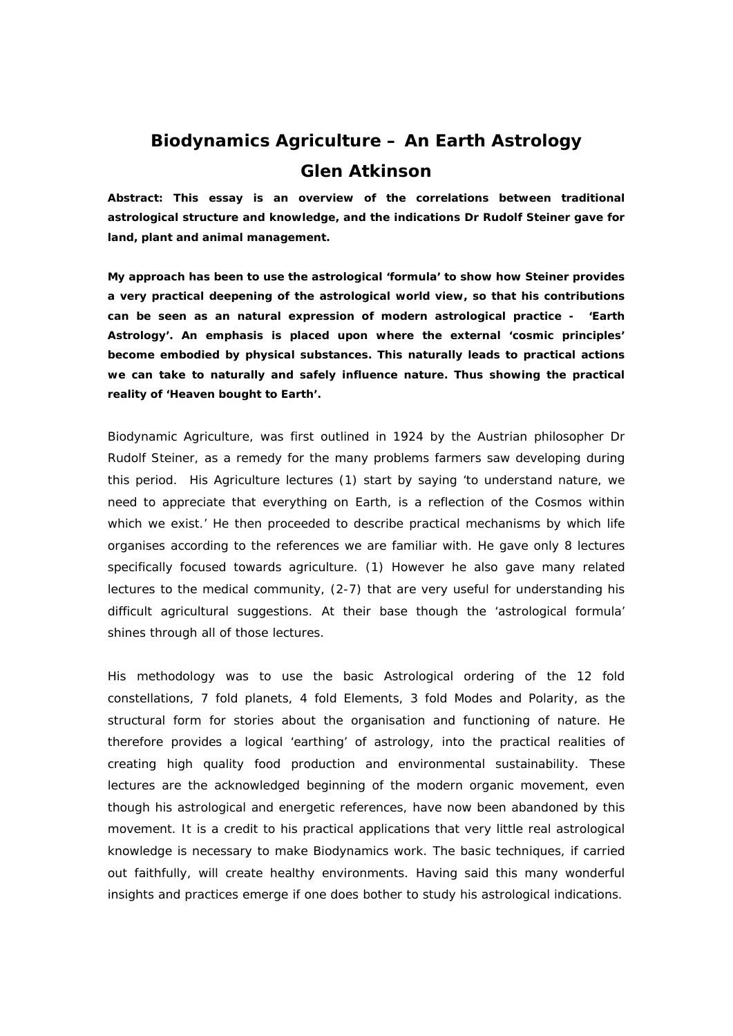# **Biodynamics Agriculture – An Earth Astrology Glen Atkinson**

**Abstract: This essay is an overview of the correlations between traditional astrological structure and knowledge, and the indications Dr Rudolf Steiner gave for land, plant and animal management.** 

**My approach has been to use the astrological 'formula' to show how Steiner provides a very practical deepening of the astrological world view, so that his contributions can be seen as an natural expression of modern astrological practice - 'Earth Astrology'. An emphasis is placed upon where the external 'cosmic principles' become embodied by physical substances. This naturally leads to practical actions we can take to naturally and safely influence nature. Thus showing the practical reality of 'Heaven bought to Earth'.**

Biodynamic Agriculture, was first outlined in 1924 by the Austrian philosopher Dr Rudolf Steiner, as a remedy for the many problems farmers saw developing during this period. His Agriculture lectures (1) start by saying 'to understand nature, we need to appreciate that everything on Earth, is a reflection of the Cosmos within which we exist.' He then proceeded to describe practical mechanisms by which life organises according to the references we are familiar with. He gave only 8 lectures specifically focused towards agriculture. (1) However he also gave many related lectures to the medical community, (2-7) that are very useful for understanding his difficult agricultural suggestions. At their base though the 'astrological formula' shines through all of those lectures.

His methodology was to use the basic Astrological ordering of the 12 fold constellations, 7 fold planets, 4 fold Elements, 3 fold Modes and Polarity, as the structural form for stories about the organisation and functioning of nature. He therefore provides a logical 'earthing' of astrology, into the practical realities of creating high quality food production and environmental sustainability. These lectures are the acknowledged beginning of the modern organic movement, even though his astrological and energetic references, have now been abandoned by this movement. It is a credit to his practical applications that very little real astrological knowledge is necessary to make Biodynamics work. The basic techniques, if carried out faithfully, will create healthy environments. Having said this many wonderful insights and practices emerge if one does bother to study his astrological indications.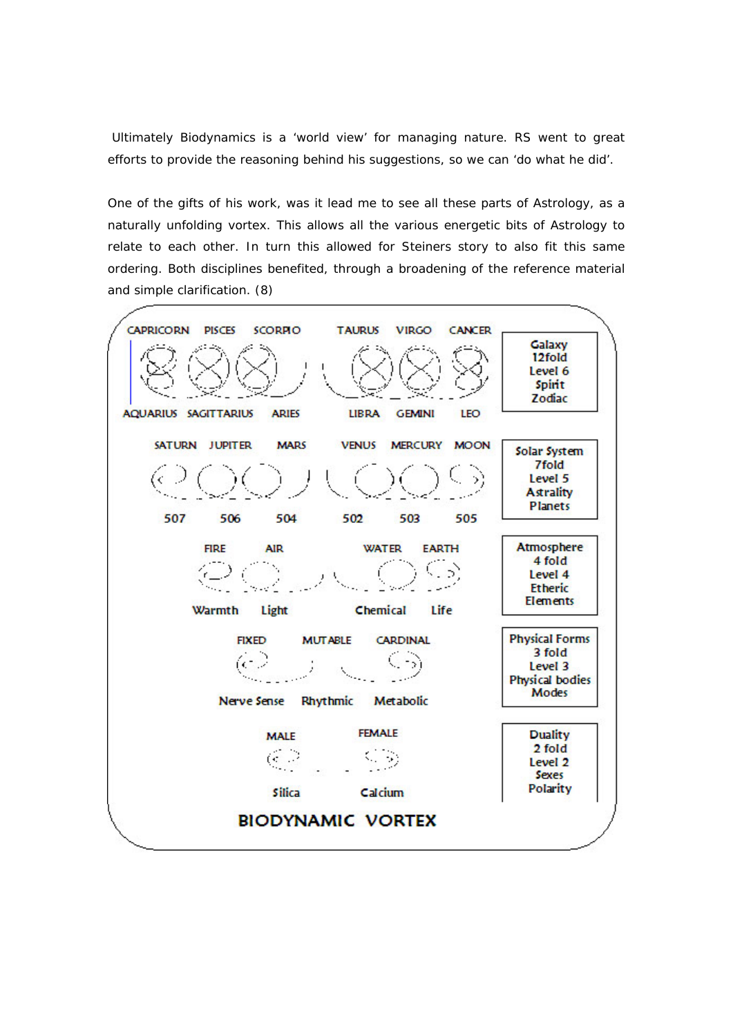Ultimately Biodynamics is a 'world view' for managing nature. RS went to great efforts to provide the reasoning behind his suggestions, so we can 'do what he did'.

One of the gifts of his work, was it lead me to see all these parts of Astrology, as a naturally unfolding vortex. This allows all the various energetic bits of Astrology to relate to each other. In turn this allowed for Steiners story to also fit this same ordering. Both disciplines benefited, through a broadening of the reference material and simple clarification. (8)

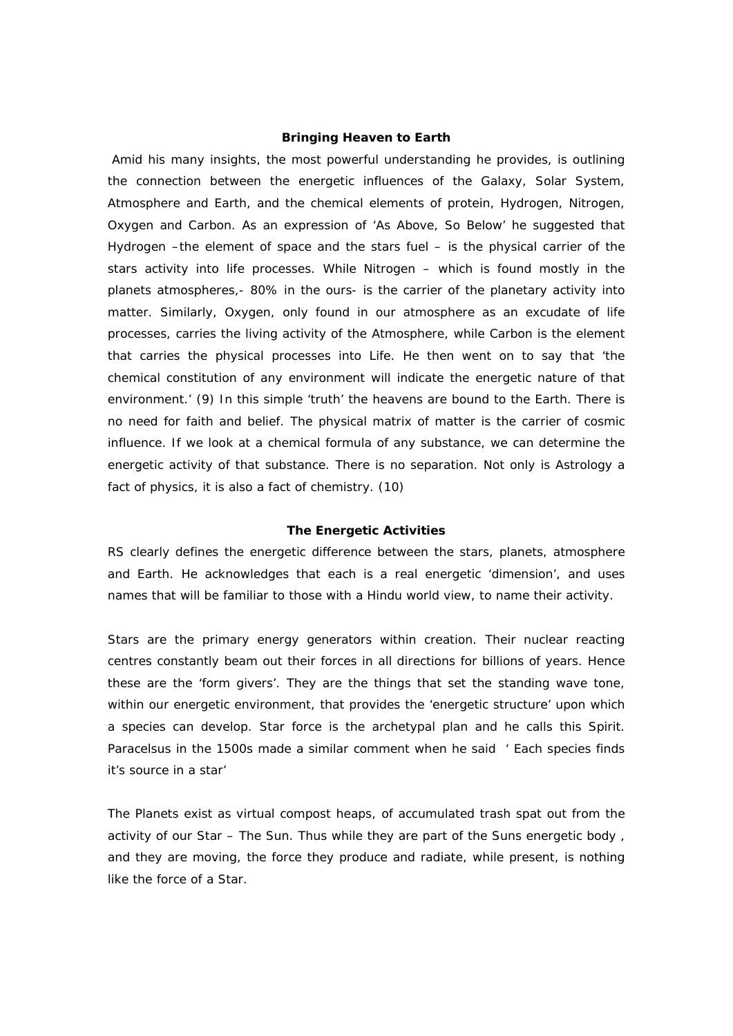#### **Bringing Heaven to Earth**

 Amid his many insights, the most powerful understanding he provides, is outlining the connection between the energetic influences of the Galaxy, Solar System, Atmosphere and Earth, and the chemical elements of protein, Hydrogen, Nitrogen, Oxygen and Carbon. As an expression of 'As Above, So Below' he suggested that Hydrogen –the element of space and the stars fuel – is the physical carrier of the stars activity into life processes. While Nitrogen – which is found mostly in the planets atmospheres,- 80% in the ours- is the carrier of the planetary activity into matter. Similarly, Oxygen, only found in our atmosphere as an excudate of life processes, carries the living activity of the Atmosphere, while Carbon is the element that carries the physical processes into Life. He then went on to say that 'the chemical constitution of any environment will indicate the energetic nature of that environment.' (9) In this simple 'truth' the heavens are bound to the Earth. There is no need for faith and belief. The physical matrix of matter is the carrier of cosmic influence. If we look at a chemical formula of any substance, we can determine the energetic activity of that substance. There is no separation. Not only is Astrology a fact of physics, it is also a fact of chemistry. (10)

#### **The Energetic Activities**

RS clearly defines the energetic difference between the stars, planets, atmosphere and Earth. He acknowledges that each is a real energetic 'dimension', and uses names that will be familiar to those with a Hindu world view, to name their activity.

Stars are the primary energy generators within creation. Their nuclear reacting centres constantly beam out their forces in all directions for billions of years. Hence these are the 'form givers'. They are the things that set the standing wave tone, within our energetic environment, that provides the 'energetic structure' upon which a species can develop. Star force is the archetypal plan and he calls this Spirit. Paracelsus in the 1500s made a similar comment when he said ' Each species finds it's source in a star'

The Planets exist as virtual compost heaps, of accumulated trash spat out from the activity of our Star – The Sun. Thus while they are part of the Suns energetic body , and they are moving, the force they produce and radiate, while present, is nothing like the force of a Star.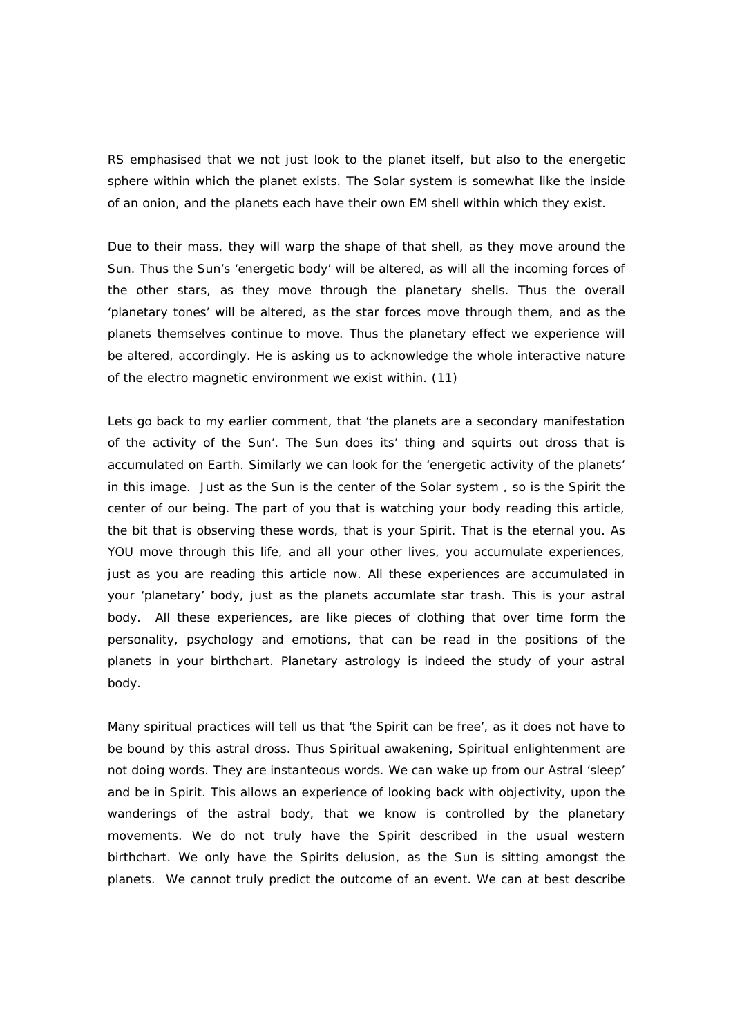RS emphasised that we not just look to the planet itself, but also to the energetic sphere within which the planet exists. The Solar system is somewhat like the inside of an onion, and the planets each have their own EM shell within which they exist.

Due to their mass, they will warp the shape of that shell, as they move around the Sun. Thus the Sun's 'energetic body' will be altered, as will all the incoming forces of the other stars, as they move through the planetary shells. Thus the overall 'planetary tones' will be altered, as the star forces move through them, and as the planets themselves continue to move. Thus the planetary effect we experience will be altered, accordingly. He is asking us to acknowledge the whole interactive nature of the electro magnetic environment we exist within. (11)

Lets go back to my earlier comment, that 'the planets are a secondary manifestation of the activity of the Sun'. The Sun does its' thing and squirts out dross that is accumulated on Earth. Similarly we can look for the 'energetic activity of the planets' in this image. Just as the Sun is the center of the Solar system , so is the Spirit the center of our being. The part of you that is watching your body reading this article, the bit that is observing these words, that is your Spirit. That is the eternal you. As YOU move through this life, and all your other lives, you accumulate experiences, just as you are reading this article now. All these experiences are accumulated in your 'planetary' body, just as the planets accumlate star trash. This is your astral body. All these experiences, are like pieces of clothing that over time form the personality, psychology and emotions, that can be read in the positions of the planets in your birthchart. Planetary astrology is indeed the study of your astral body.

Many spiritual practices will tell us that 'the Spirit can be free', as it does not have to be bound by this astral dross. Thus Spiritual awakening, Spiritual enlightenment are not doing words. They are instanteous words. We can wake up from our Astral 'sleep' and be in Spirit. This allows an experience of looking back with objectivity, upon the wanderings of the astral body, that we know is controlled by the planetary movements. We do not truly have the Spirit described in the usual western birthchart. We only have the Spirits delusion, as the Sun is sitting amongst the planets. We cannot truly predict the outcome of an event. We can at best describe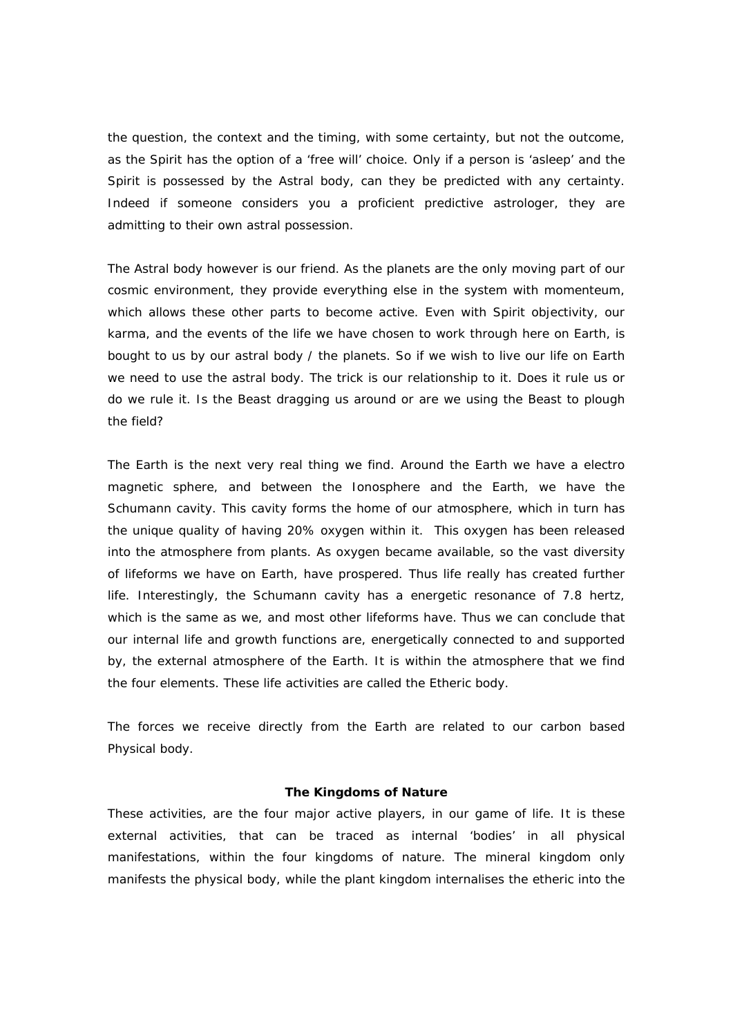the question, the context and the timing, with some certainty, but not the outcome, as the Spirit has the option of a 'free will' choice. Only if a person is 'asleep' and the Spirit is possessed by the Astral body, can they be predicted with any certainty. Indeed if someone considers you a proficient predictive astrologer, they are admitting to their own astral possession.

The Astral body however is our friend. As the planets are the only moving part of our cosmic environment, they provide everything else in the system with momenteum, which allows these other parts to become active. Even with Spirit objectivity, our karma, and the events of the life we have chosen to work through here on Earth, is bought to us by our astral body / the planets. So if we wish to live our life on Earth we need to use the astral body. The trick is our relationship to it. Does it rule us or do we rule it. Is the Beast dragging us around or are we using the Beast to plough the field?

The Earth is the next very real thing we find. Around the Earth we have a electro magnetic sphere, and between the Ionosphere and the Earth, we have the Schumann cavity. This cavity forms the home of our atmosphere, which in turn has the unique quality of having 20% oxygen within it. This oxygen has been released into the atmosphere from plants. As oxygen became available, so the vast diversity of lifeforms we have on Earth, have prospered. Thus life really has created further life. Interestingly, the Schumann cavity has a energetic resonance of 7.8 hertz, which is the same as we, and most other lifeforms have. Thus we can conclude that our internal life and growth functions are, energetically connected to and supported by, the external atmosphere of the Earth. It is within the atmosphere that we find the four elements. These life activities are called the Etheric body.

The forces we receive directly from the Earth are related to our carbon based Physical body.

#### **The Kingdoms of Nature**

These activities, are the four major active players, in our game of life. It is these external activities, that can be traced as internal 'bodies' in all physical manifestations, within the four kingdoms of nature. The mineral kingdom only manifests the physical body, while the plant kingdom internalises the etheric into the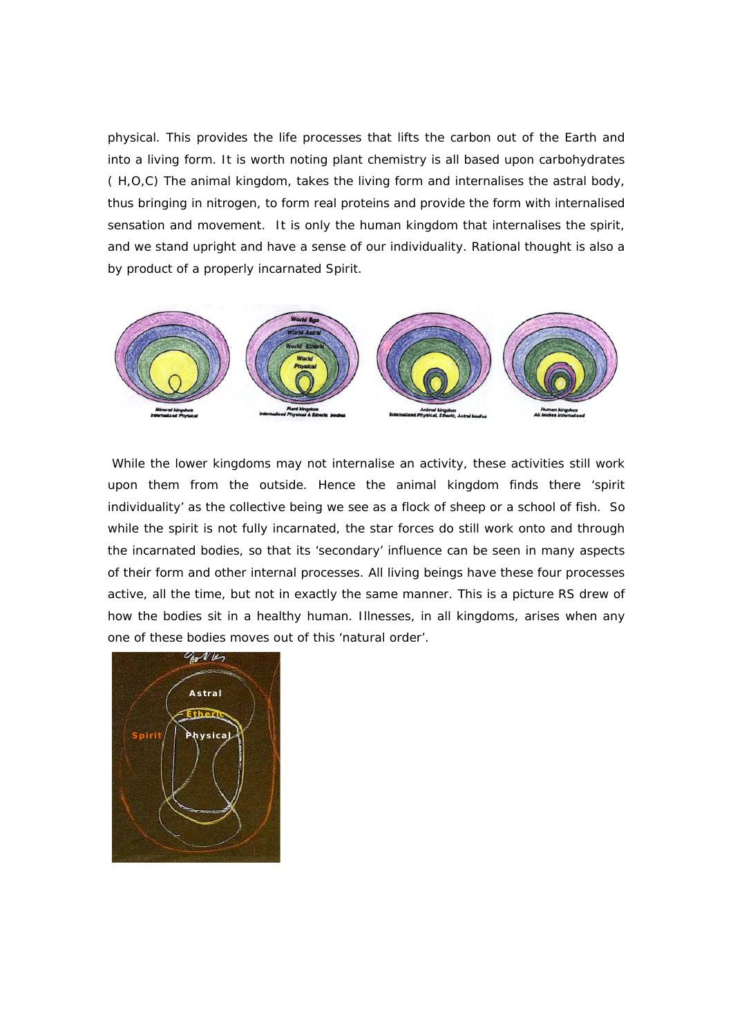physical. This provides the life processes that lifts the carbon out of the Earth and into a living form. It is worth noting plant chemistry is all based upon carbohydrates ( H,O,C) The animal kingdom, takes the living form and internalises the astral body, thus bringing in nitrogen, to form real proteins and provide the form with internalised sensation and movement. It is only the human kingdom that internalises the spirit, and we stand upright and have a sense of our individuality. Rational thought is also a by product of a properly incarnated Spirit.



 While the lower kingdoms may not internalise an activity, these activities still work upon them from the outside. Hence the animal kingdom finds there 'spirit individuality' as the collective being we see as a flock of sheep or a school of fish. So while the spirit is not fully incarnated, the star forces do still work onto and through the incarnated bodies, so that its 'secondary' influence can be seen in many aspects of their form and other internal processes. All living beings have these four processes active, all the time, but not in exactly the same manner. This is a picture RS drew of how the bodies sit in a healthy human. Illnesses, in all kingdoms, arises when any one of these bodies moves out of this 'natural order'.

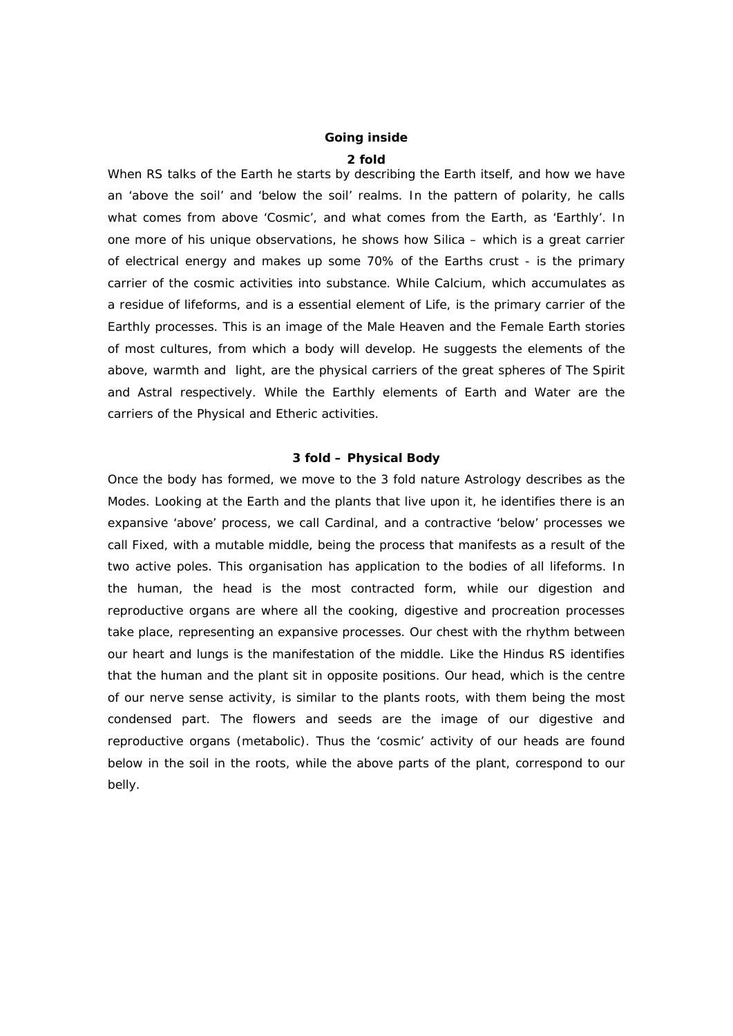# **Going inside 2 fold**

When RS talks of the Earth he starts by describing the Earth itself, and how we have an 'above the soil' and 'below the soil' realms. In the pattern of polarity, he calls what comes from above 'Cosmic', and what comes from the Earth, as 'Earthly'. In one more of his unique observations, he shows how Silica – which is a great carrier of electrical energy and makes up some 70% of the Earths crust - is the primary carrier of the cosmic activities into substance. While Calcium, which accumulates as a residue of lifeforms, and is a essential element of Life, is the primary carrier of the Earthly processes. This is an image of the Male Heaven and the Female Earth stories of most cultures, from which a body will develop. He suggests the elements of the above, warmth and light, are the physical carriers of the great spheres of The Spirit and Astral respectively. While the Earthly elements of Earth and Water are the carriers of the Physical and Etheric activities.

# **3 fold – Physical Body**

Once the body has formed, we move to the 3 fold nature Astrology describes as the Modes. Looking at the Earth and the plants that live upon it, he identifies there is an expansive 'above' process, we call Cardinal, and a contractive 'below' processes we call Fixed, with a mutable middle, being the process that manifests as a result of the two active poles. This organisation has application to the bodies of all lifeforms. In the human, the head is the most contracted form, while our digestion and reproductive organs are where all the cooking, digestive and procreation processes take place, representing an expansive processes. Our chest with the rhythm between our heart and lungs is the manifestation of the middle. Like the Hindus RS identifies that the human and the plant sit in opposite positions. Our head, which is the centre of our nerve sense activity, is similar to the plants roots, with them being the most condensed part. The flowers and seeds are the image of our digestive and reproductive organs (metabolic). Thus the 'cosmic' activity of our heads are found below in the soil in the roots, while the above parts of the plant, correspond to our belly.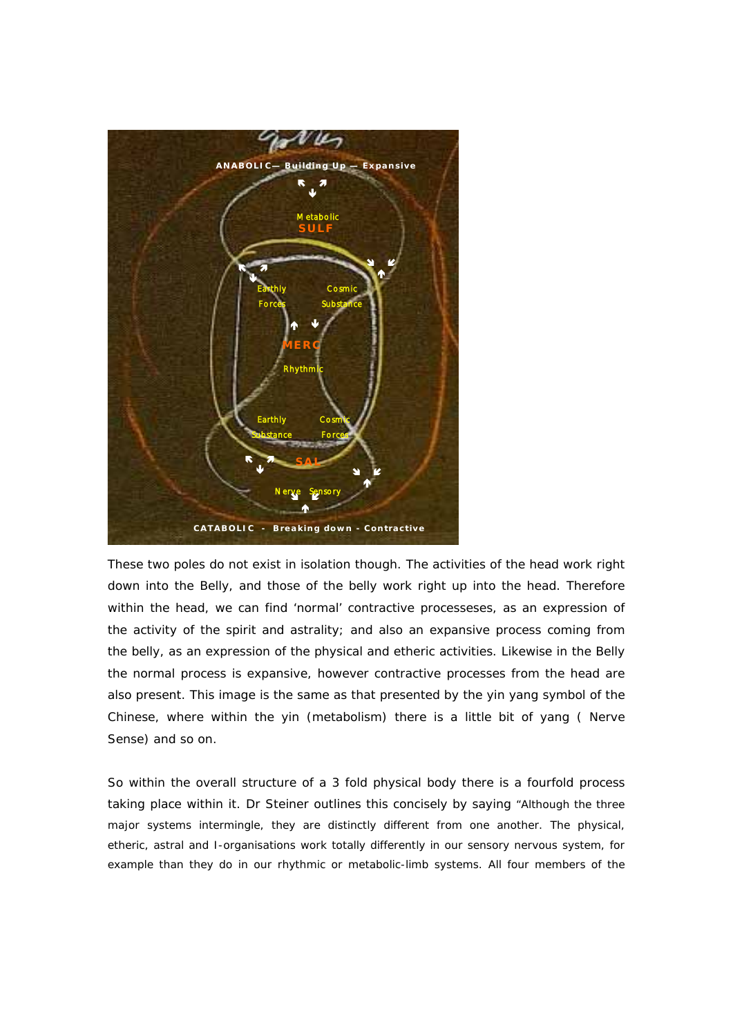

These two poles do not exist in isolation though. The activities of the head work right down into the Belly, and those of the belly work right up into the head. Therefore within the head, we can find 'normal' contractive processeses, as an expression of the activity of the spirit and astrality; and also an expansive process coming from the belly, as an expression of the physical and etheric activities. Likewise in the Belly the normal process is expansive, however contractive processes from the head are also present. This image is the same as that presented by the yin yang symbol of the Chinese, where within the yin (metabolism) there is a little bit of yang ( Nerve Sense) and so on.

So within the overall structure of a 3 fold physical body there is a fourfold process taking place within it. Dr Steiner outlines this concisely by saying "Although the three major systems intermingle, they are distinctly different from one another. The physical, etheric, astral and I-organisations work totally differently in our sensory nervous system, for example than they do in our rhythmic or metabolic-limb systems. All four members of the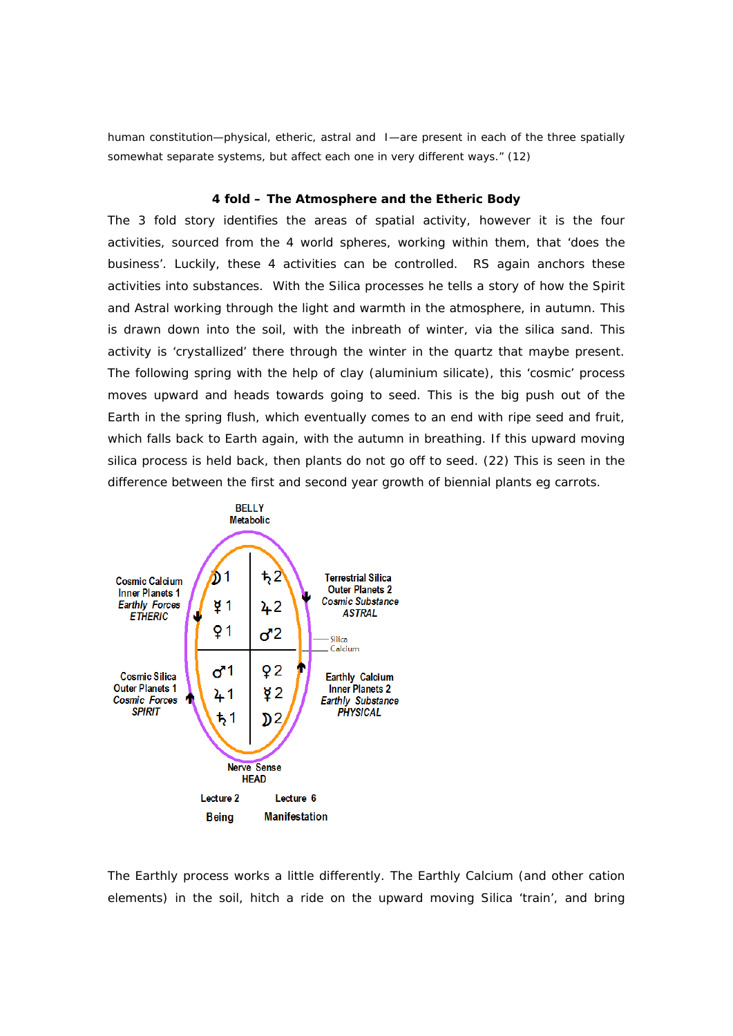human constitution—physical, etheric, astral and I—are present in each of the three spatially somewhat separate systems, but affect each one in very different ways." (12)

# **4 fold – The Atmosphere and the Etheric Body**

The 3 fold story identifies the areas of spatial activity, however it is the four activities, sourced from the 4 world spheres, working within them, that 'does the business'. Luckily, these 4 activities can be controlled. RS again anchors these activities into substances. With the Silica processes he tells a story of how the Spirit and Astral working through the light and warmth in the atmosphere, in autumn. This is drawn down into the soil, with the inbreath of winter, via the silica sand. This activity is 'crystallized' there through the winter in the quartz that maybe present. The following spring with the help of clay (aluminium silicate), this 'cosmic' process moves upward and heads towards going to seed. This is the big push out of the Earth in the spring flush, which eventually comes to an end with ripe seed and fruit, which falls back to Earth again, with the autumn in breathing. If this upward moving silica process is held back, then plants do not go off to seed. (22) This is seen in the difference between the first and second year growth of biennial plants eg carrots.



The Earthly process works a little differently. The Earthly Calcium (and other cation elements) in the soil, hitch a ride on the upward moving Silica 'train', and bring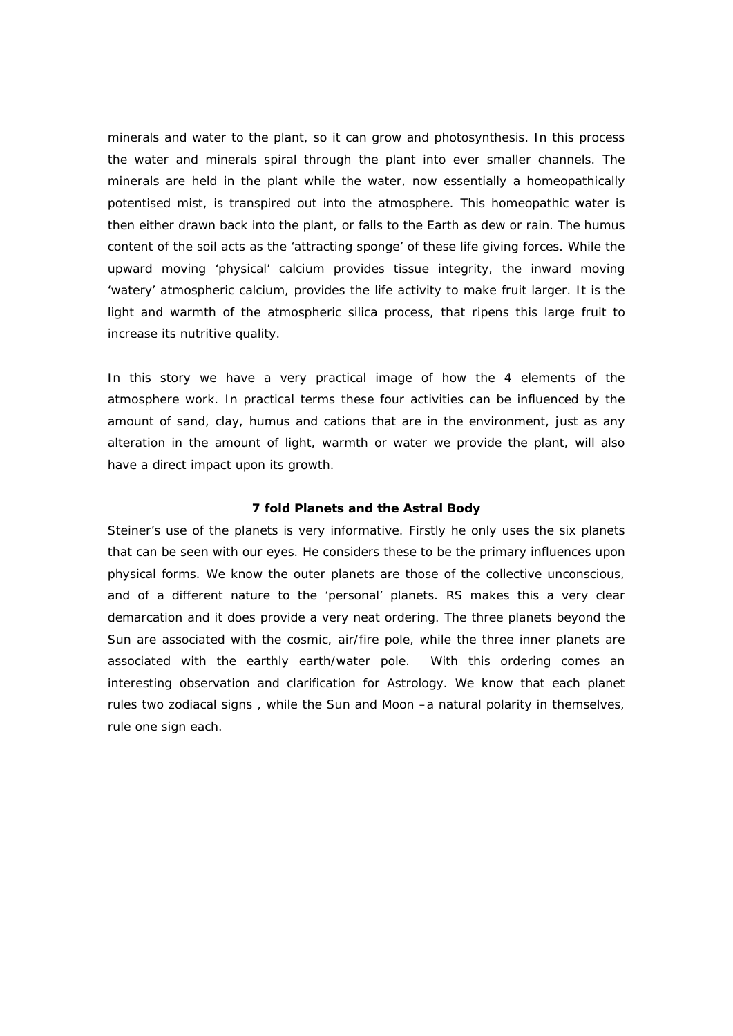minerals and water to the plant, so it can grow and photosynthesis. In this process the water and minerals spiral through the plant into ever smaller channels. The minerals are held in the plant while the water, now essentially a homeopathically potentised mist, is transpired out into the atmosphere. This homeopathic water is then either drawn back into the plant, or falls to the Earth as dew or rain. The humus content of the soil acts as the 'attracting sponge' of these life giving forces. While the upward moving 'physical' calcium provides tissue integrity, the inward moving 'watery' atmospheric calcium, provides the life activity to make fruit larger. It is the light and warmth of the atmospheric silica process, that ripens this large fruit to increase its nutritive quality.

In this story we have a very practical image of how the 4 elements of the atmosphere work. In practical terms these four activities can be influenced by the amount of sand, clay, humus and cations that are in the environment, just as any alteration in the amount of light, warmth or water we provide the plant, will also have a direct impact upon its growth.

### **7 fold Planets and the Astral Body**

Steiner's use of the planets is very informative. Firstly he only uses the six planets that can be seen with our eyes. He considers these to be the primary influences upon physical forms. We know the outer planets are those of the collective unconscious, and of a different nature to the 'personal' planets. RS makes this a very clear demarcation and it does provide a very neat ordering. The three planets beyond the Sun are associated with the cosmic, air/fire pole, while the three inner planets are associated with the earthly earth/water pole. With this ordering comes an interesting observation and clarification for Astrology. We know that each planet rules two zodiacal signs , while the Sun and Moon –a natural polarity in themselves, rule one sign each.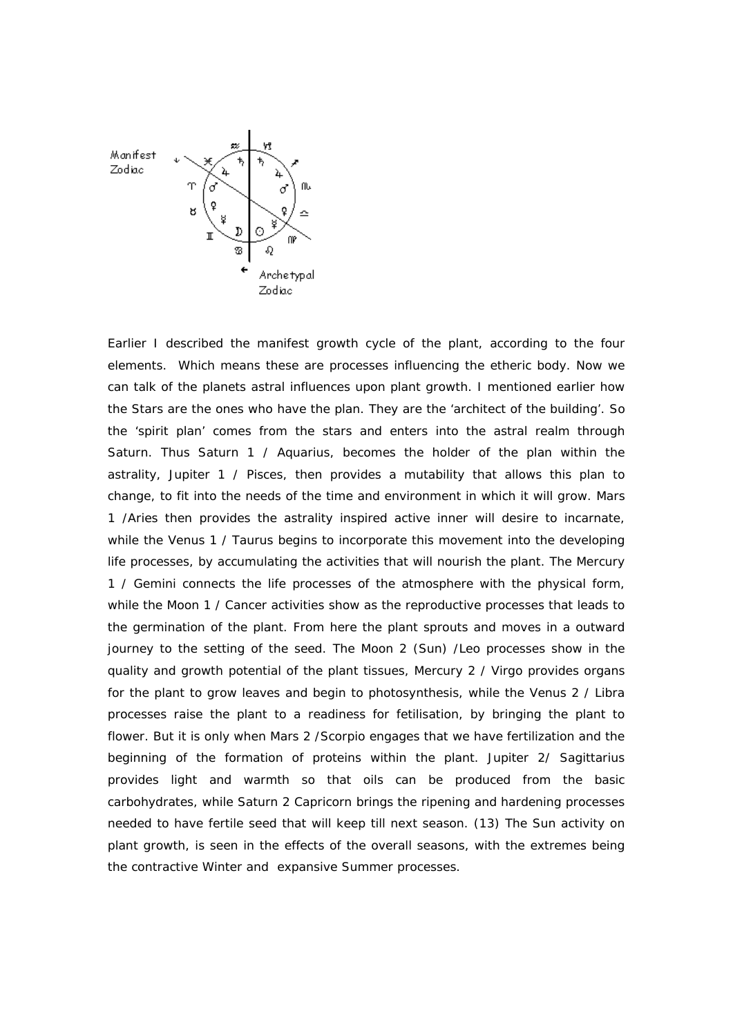

Earlier I described the manifest growth cycle of the plant, according to the four elements. Which means these are processes influencing the etheric body. Now we can talk of the planets astral influences upon plant growth. I mentioned earlier how the Stars are the ones who have the plan. They are the 'architect of the building'. So the 'spirit plan' comes from the stars and enters into the astral realm through Saturn. Thus Saturn 1 / Aquarius, becomes the holder of the plan within the astrality, Jupiter 1 / Pisces, then provides a mutability that allows this plan to change, to fit into the needs of the time and environment in which it will grow. Mars 1 /Aries then provides the astrality inspired active inner will desire to incarnate, while the Venus 1 / Taurus begins to incorporate this movement into the developing life processes, by accumulating the activities that will nourish the plant. The Mercury 1 / Gemini connects the life processes of the atmosphere with the physical form, while the Moon 1 / Cancer activities show as the reproductive processes that leads to the germination of the plant. From here the plant sprouts and moves in a outward journey to the setting of the seed. The Moon 2 (Sun) /Leo processes show in the quality and growth potential of the plant tissues, Mercury 2 / Virgo provides organs for the plant to grow leaves and begin to photosynthesis, while the Venus 2 / Libra processes raise the plant to a readiness for fetilisation, by bringing the plant to flower. But it is only when Mars 2 /Scorpio engages that we have fertilization and the beginning of the formation of proteins within the plant. Jupiter 2/ Sagittarius provides light and warmth so that oils can be produced from the basic carbohydrates, while Saturn 2 Capricorn brings the ripening and hardening processes needed to have fertile seed that will keep till next season. (13) The Sun activity on plant growth, is seen in the effects of the overall seasons, with the extremes being the contractive Winter and expansive Summer processes.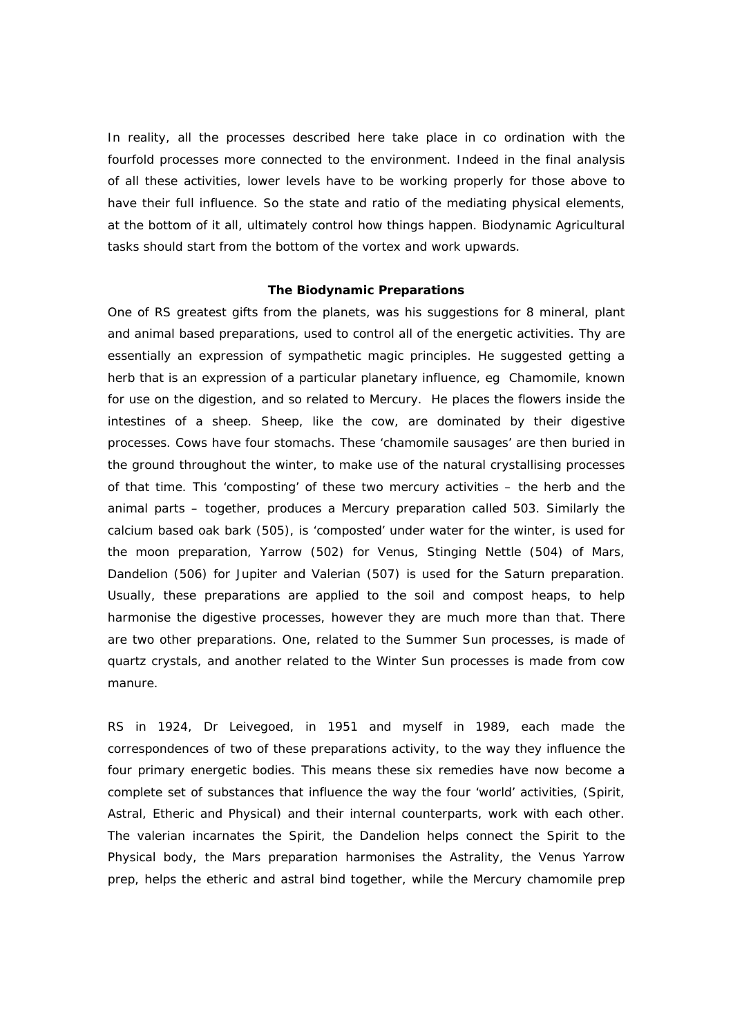In reality, all the processes described here take place in co ordination with the fourfold processes more connected to the environment. Indeed in the final analysis of all these activities, lower levels have to be working properly for those above to have their full influence. So the state and ratio of the mediating physical elements, at the bottom of it all, ultimately control how things happen. Biodynamic Agricultural tasks should start from the bottom of the vortex and work upwards.

### **The Biodynamic Preparations**

One of RS greatest gifts from the planets, was his suggestions for 8 mineral, plant and animal based preparations, used to control all of the energetic activities. Thy are essentially an expression of sympathetic magic principles. He suggested getting a herb that is an expression of a particular planetary influence, eg Chamomile, known for use on the digestion, and so related to Mercury. He places the flowers inside the intestines of a sheep. Sheep, like the cow, are dominated by their digestive processes. Cows have four stomachs. These 'chamomile sausages' are then buried in the ground throughout the winter, to make use of the natural crystallising processes of that time. This 'composting' of these two mercury activities – the herb and the animal parts – together, produces a Mercury preparation called 503. Similarly the calcium based oak bark (505), is 'composted' under water for the winter, is used for the moon preparation, Yarrow (502) for Venus, Stinging Nettle (504) of Mars, Dandelion (506) for Jupiter and Valerian (507) is used for the Saturn preparation. Usually, these preparations are applied to the soil and compost heaps, to help harmonise the digestive processes, however they are much more than that. There are two other preparations. One, related to the Summer Sun processes, is made of quartz crystals, and another related to the Winter Sun processes is made from cow manure.

RS in 1924, Dr Leivegoed, in 1951 and myself in 1989, each made the correspondences of two of these preparations activity, to the way they influence the four primary energetic bodies. This means these six remedies have now become a complete set of substances that influence the way the four 'world' activities, (Spirit, Astral, Etheric and Physical) and their internal counterparts, work with each other. The valerian incarnates the Spirit, the Dandelion helps connect the Spirit to the Physical body, the Mars preparation harmonises the Astrality, the Venus Yarrow prep, helps the etheric and astral bind together, while the Mercury chamomile prep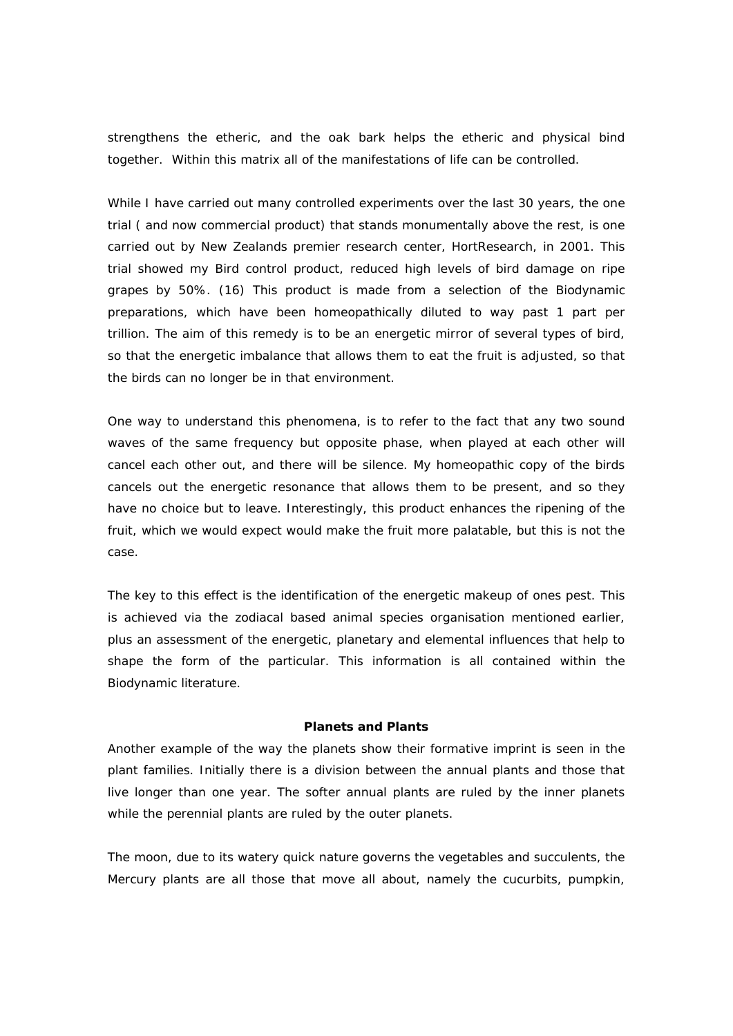strengthens the etheric, and the oak bark helps the etheric and physical bind together. Within this matrix all of the manifestations of life can be controlled.

While I have carried out many controlled experiments over the last 30 years, the one trial ( and now commercial product) that stands monumentally above the rest, is one carried out by New Zealands premier research center, HortResearch, in 2001. This trial showed my Bird control product, reduced high levels of bird damage on ripe grapes by 50%. (16) This product is made from a selection of the Biodynamic preparations, which have been homeopathically diluted to way past 1 part per trillion. The aim of this remedy is to be an energetic mirror of several types of bird, so that the energetic imbalance that allows them to eat the fruit is adjusted, so that the birds can no longer be in that environment.

One way to understand this phenomena, is to refer to the fact that any two sound waves of the same frequency but opposite phase, when played at each other will cancel each other out, and there will be silence. My homeopathic copy of the birds cancels out the energetic resonance that allows them to be present, and so they have no choice but to leave. Interestingly, this product enhances the ripening of the fruit, which we would expect would make the fruit more palatable, but this is not the case.

The key to this effect is the identification of the energetic makeup of ones pest. This is achieved via the zodiacal based animal species organisation mentioned earlier, plus an assessment of the energetic, planetary and elemental influences that help to shape the form of the particular. This information is all contained within the Biodynamic literature.

## **Planets and Plants**

Another example of the way the planets show their formative imprint is seen in the plant families. Initially there is a division between the annual plants and those that live longer than one year. The softer annual plants are ruled by the inner planets while the perennial plants are ruled by the outer planets.

The moon, due to its watery quick nature governs the vegetables and succulents, the Mercury plants are all those that move all about, namely the cucurbits, pumpkin,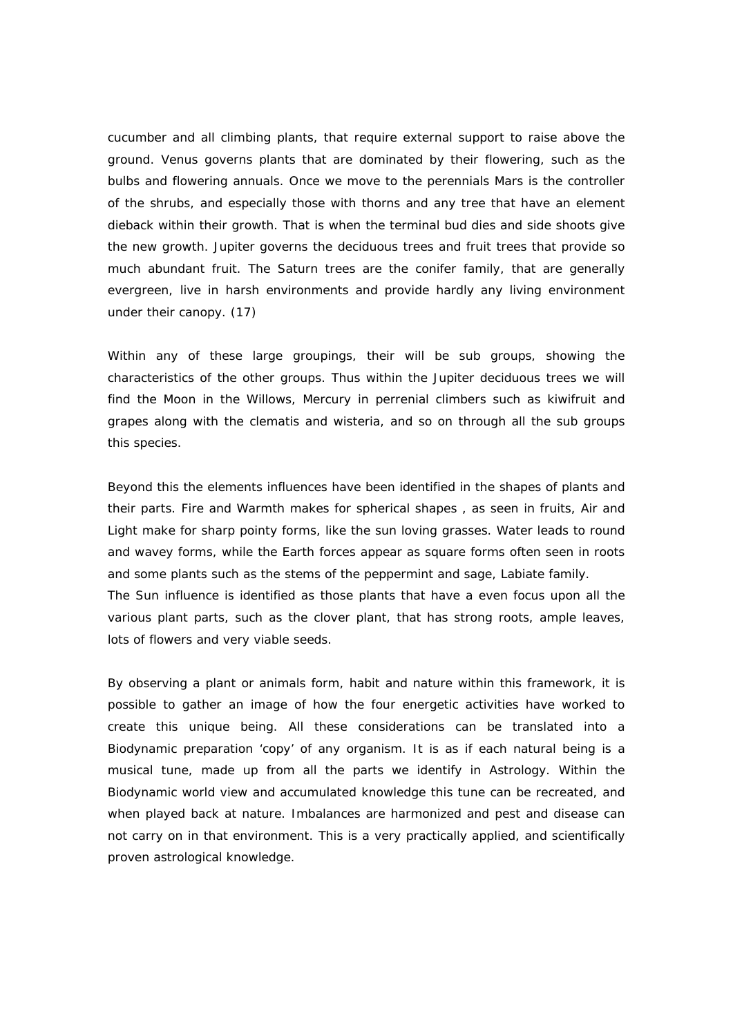cucumber and all climbing plants, that require external support to raise above the ground. Venus governs plants that are dominated by their flowering, such as the bulbs and flowering annuals. Once we move to the perennials Mars is the controller of the shrubs, and especially those with thorns and any tree that have an element dieback within their growth. That is when the terminal bud dies and side shoots give the new growth. Jupiter governs the deciduous trees and fruit trees that provide so much abundant fruit. The Saturn trees are the conifer family, that are generally evergreen, live in harsh environments and provide hardly any living environment under their canopy. (17)

Within any of these large groupings, their will be sub groups, showing the characteristics of the other groups. Thus within the Jupiter deciduous trees we will find the Moon in the Willows, Mercury in perrenial climbers such as kiwifruit and grapes along with the clematis and wisteria, and so on through all the sub groups this species.

Beyond this the elements influences have been identified in the shapes of plants and their parts. Fire and Warmth makes for spherical shapes , as seen in fruits, Air and Light make for sharp pointy forms, like the sun loving grasses. Water leads to round and wavey forms, while the Earth forces appear as square forms often seen in roots and some plants such as the stems of the peppermint and sage, Labiate family. The Sun influence is identified as those plants that have a even focus upon all the various plant parts, such as the clover plant, that has strong roots, ample leaves, lots of flowers and very viable seeds.

By observing a plant or animals form, habit and nature within this framework, it is possible to gather an image of how the four energetic activities have worked to create this unique being. All these considerations can be translated into a Biodynamic preparation 'copy' of any organism. It is as if each natural being is a musical tune, made up from all the parts we identify in Astrology. Within the Biodynamic world view and accumulated knowledge this tune can be recreated, and when played back at nature. Imbalances are harmonized and pest and disease can not carry on in that environment. This is a very practically applied, and scientifically proven astrological knowledge.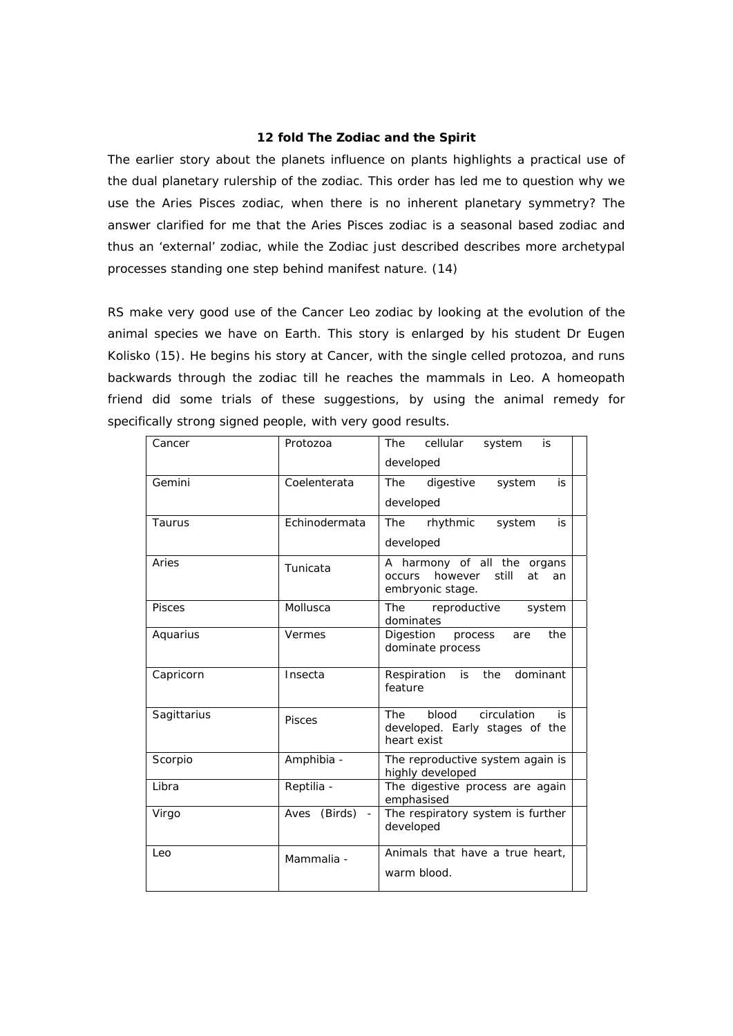#### **12 fold The Zodiac and the Spirit**

The earlier story about the planets influence on plants highlights a practical use of the dual planetary rulership of the zodiac. This order has led me to question why we use the Aries Pisces zodiac, when there is no inherent planetary symmetry? The answer clarified for me that the Aries Pisces zodiac is a seasonal based zodiac and thus an 'external' zodiac, while the Zodiac just described describes more archetypal processes standing one step behind manifest nature. (14)

RS make very good use of the Cancer Leo zodiac by looking at the evolution of the animal species we have on Earth. This story is enlarged by his student Dr Eugen Kolisko (15). He begins his story at Cancer, with the single celled protozoa, and runs backwards through the zodiac till he reaches the mammals in Leo. A homeopath friend did some trials of these suggestions, by using the animal remedy for specifically strong signed people, with very good results.

| Cancer        | Protozoa                                    | The<br>cellular<br>system<br>is                                                           |
|---------------|---------------------------------------------|-------------------------------------------------------------------------------------------|
|               |                                             | developed                                                                                 |
| Gemini        | Coelenterata                                | <b>The</b><br>digestive<br>system<br>is                                                   |
|               |                                             | developed                                                                                 |
| Taurus        | Echinodermata                               | <b>The</b><br>rhythmic<br>system<br>is                                                    |
|               |                                             | developed                                                                                 |
| Aries         | Tunicata                                    | A harmony of all the organs<br>however<br>still<br><b>occurs</b><br>at<br>an              |
|               |                                             | embryonic stage.                                                                          |
| <b>Pisces</b> | Mollusca                                    | The<br>reproductive<br>system<br>dominates                                                |
| Aquarius      | Vermes                                      | Digestion process<br>the<br>are<br>dominate process                                       |
| Capricorn     | Insecta                                     | dominant<br>Respiration<br>is<br>the<br>feature                                           |
| Sagittarius   | <b>Pisces</b>                               | blood<br>circulation<br><b>The</b><br>is<br>developed. Early stages of the<br>heart exist |
| Scorpio       | Amphibia -                                  | The reproductive system again is<br>highly developed                                      |
| Libra         | Reptilia -                                  | The digestive process are again<br>emphasised                                             |
| Virgo         | (Birds)<br>Aves<br>$\overline{\phantom{a}}$ | The respiratory system is further<br>developed                                            |
| Leo           | Mammalia -                                  | Animals that have a true heart,                                                           |
|               |                                             | warm blood.                                                                               |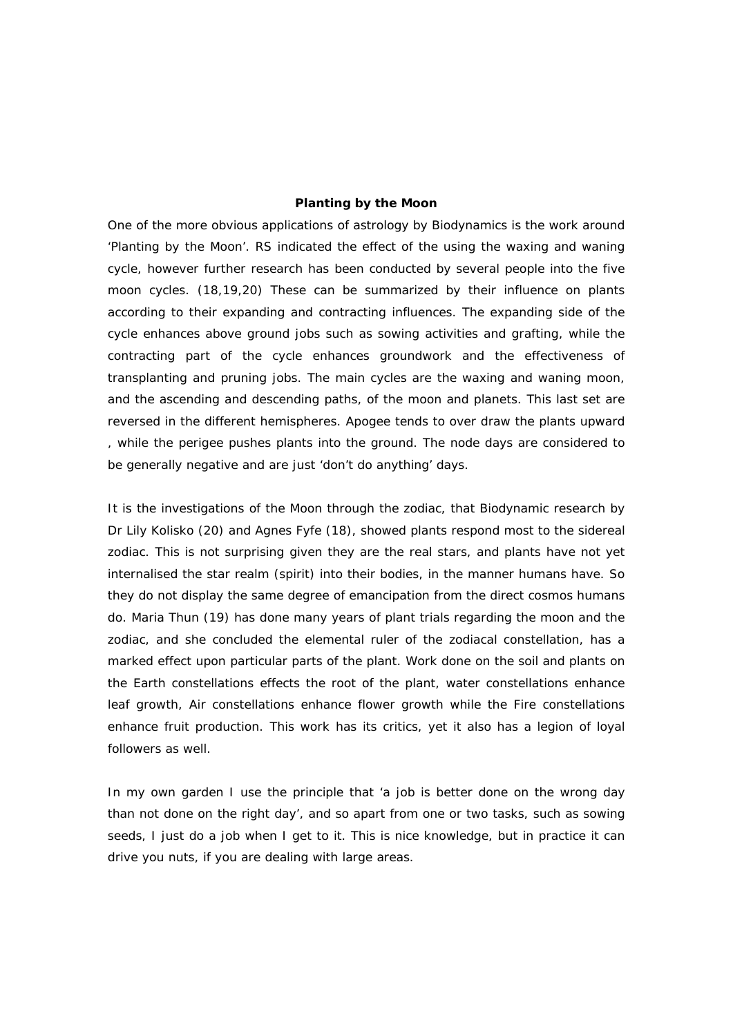### **Planting by the Moon**

One of the more obvious applications of astrology by Biodynamics is the work around 'Planting by the Moon'. RS indicated the effect of the using the waxing and waning cycle, however further research has been conducted by several people into the five moon cycles. (18,19,20) These can be summarized by their influence on plants according to their expanding and contracting influences. The expanding side of the cycle enhances above ground jobs such as sowing activities and grafting, while the contracting part of the cycle enhances groundwork and the effectiveness of transplanting and pruning jobs. The main cycles are the waxing and waning moon, and the ascending and descending paths, of the moon and planets. This last set are reversed in the different hemispheres. Apogee tends to over draw the plants upward , while the perigee pushes plants into the ground. The node days are considered to be generally negative and are just 'don't do anything' days.

It is the investigations of the Moon through the zodiac, that Biodynamic research by Dr Lily Kolisko (20) and Agnes Fyfe (18), showed plants respond most to the sidereal zodiac. This is not surprising given they are the real stars, and plants have not yet internalised the star realm (spirit) into their bodies, in the manner humans have. So they do not display the same degree of emancipation from the direct cosmos humans do. Maria Thun (19) has done many years of plant trials regarding the moon and the zodiac, and she concluded the elemental ruler of the zodiacal constellation, has a marked effect upon particular parts of the plant. Work done on the soil and plants on the Earth constellations effects the root of the plant, water constellations enhance leaf growth, Air constellations enhance flower growth while the Fire constellations enhance fruit production. This work has its critics, yet it also has a legion of loyal followers as well.

In my own garden I use the principle that 'a job is better done on the wrong day than not done on the right day', and so apart from one or two tasks, such as sowing seeds, I just do a job when I get to it. This is nice knowledge, but in practice it can drive you nuts, if you are dealing with large areas.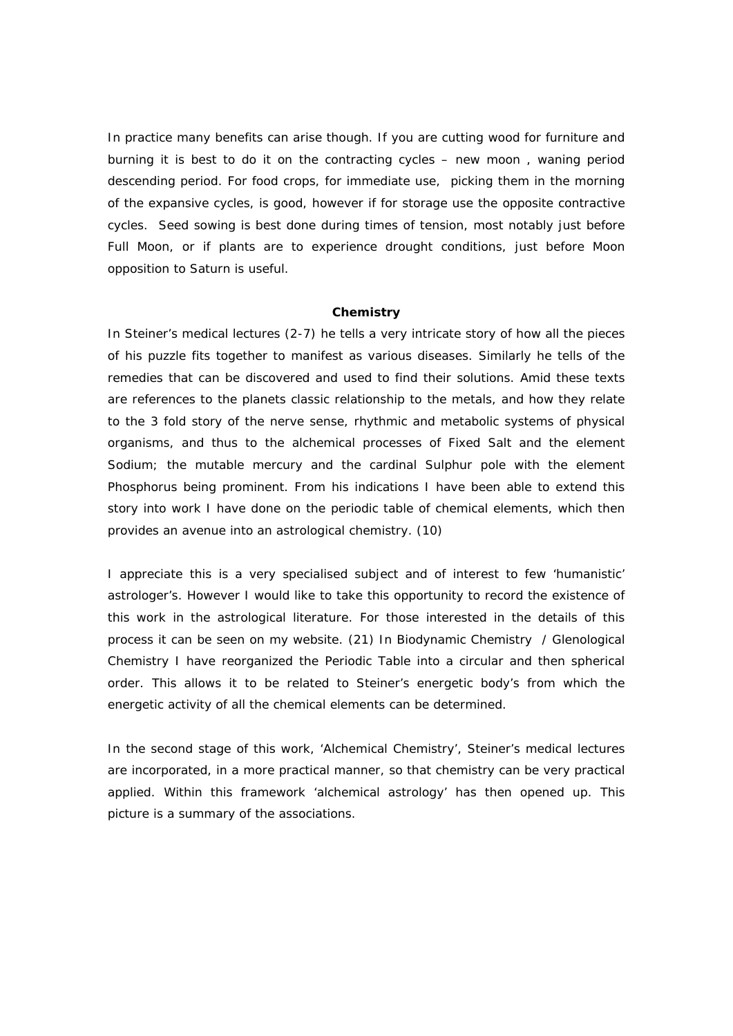In practice many benefits can arise though. If you are cutting wood for furniture and burning it is best to do it on the contracting cycles – new moon , waning period descending period. For food crops, for immediate use, picking them in the morning of the expansive cycles, is good, however if for storage use the opposite contractive cycles. Seed sowing is best done during times of tension, most notably just before Full Moon, or if plants are to experience drought conditions, just before Moon opposition to Saturn is useful.

#### **Chemistry**

In Steiner's medical lectures (2-7) he tells a very intricate story of how all the pieces of his puzzle fits together to manifest as various diseases. Similarly he tells of the remedies that can be discovered and used to find their solutions. Amid these texts are references to the planets classic relationship to the metals, and how they relate to the 3 fold story of the nerve sense, rhythmic and metabolic systems of physical organisms, and thus to the alchemical processes of Fixed Salt and the element Sodium; the mutable mercury and the cardinal Sulphur pole with the element Phosphorus being prominent. From his indications I have been able to extend this story into work I have done on the periodic table of chemical elements, which then provides an avenue into an astrological chemistry. (10)

I appreciate this is a very specialised subject and of interest to few 'humanistic' astrologer's. However I would like to take this opportunity to record the existence of this work in the astrological literature. For those interested in the details of this process it can be seen on my website. (21) In Biodynamic Chemistry / Glenological Chemistry I have reorganized the Periodic Table into a circular and then spherical order. This allows it to be related to Steiner's energetic body's from which the energetic activity of all the chemical elements can be determined.

In the second stage of this work, 'Alchemical Chemistry', Steiner's medical lectures are incorporated, in a more practical manner, so that chemistry can be very practical applied. Within this framework 'alchemical astrology' has then opened up. This picture is a summary of the associations.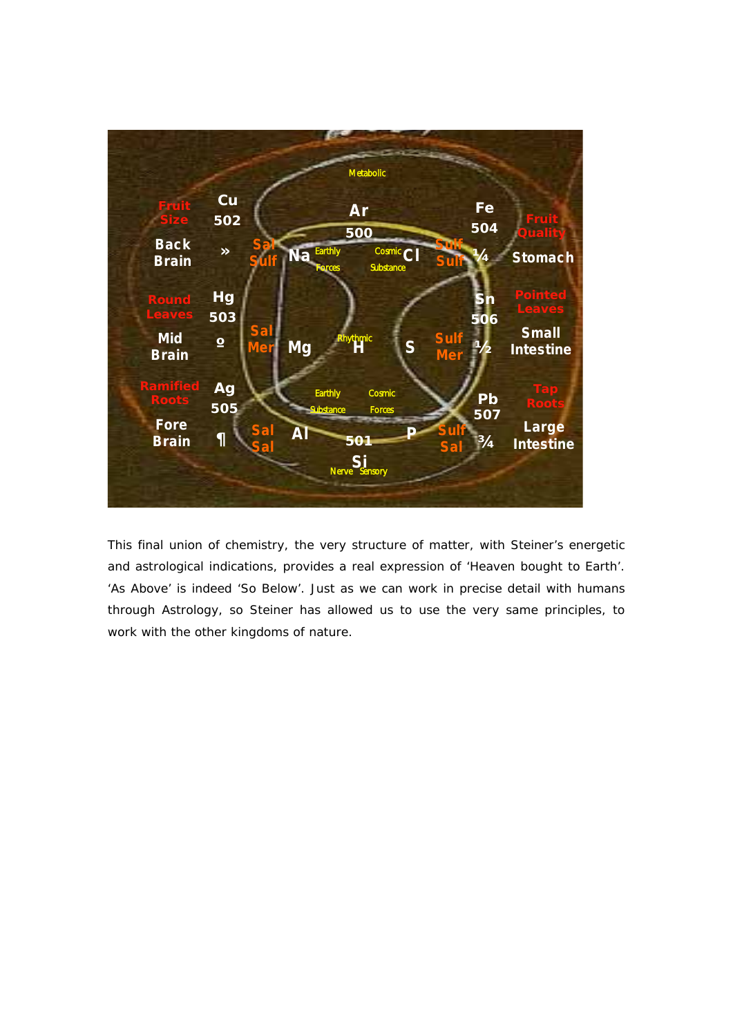

This final union of chemistry, the very structure of matter, with Steiner's energetic and astrological indications, provides a real expression of 'Heaven bought to Earth'. 'As Above' is indeed 'So Below'. Just as we can work in precise detail with humans through Astrology, so Steiner has allowed us to use the very same principles, to work with the other kingdoms of nature.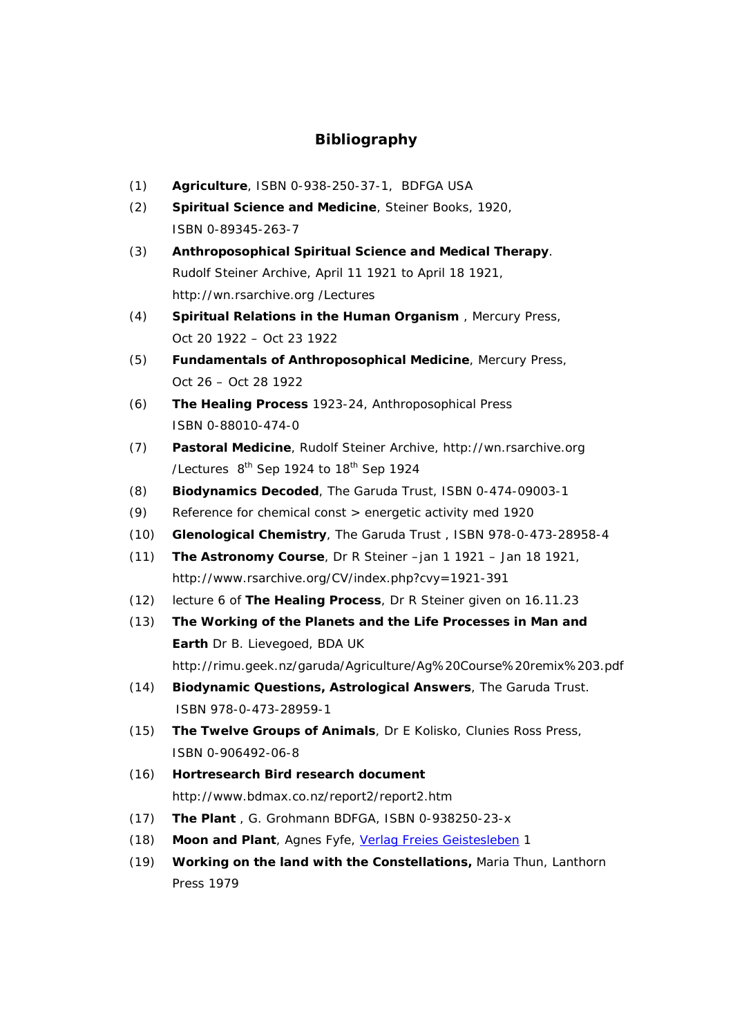# **Bibliography**

- (1) **Agriculture**, ISBN 0-938-250-37-1, BDFGA USA
- (2) **Spiritual Science and Medicine**, Steiner Books, 1920, ISBN 0-89345-263-7
- (3) **Anthroposophical Spiritual Science and Medical Therapy**. Rudolf Steiner Archive, April 11 1921 to April 18 1921, http://wn.rsarchive.org /Lectures
- (4) **Spiritual Relations in the Human Organism** , Mercury Press, Oct 20 1922 – Oct 23 1922
- (5) **Fundamentals of Anthroposophical Medicine**, Mercury Press, Oct 26 – Oct 28 1922
- (6) **The Healing Process** 1923-24, Anthroposophical Press ISBN 0-88010-474-0
- (7) **Pastoral Medicine**, Rudolf Steiner Archive, http://wn.rsarchive.org /Lectures 8<sup>th</sup> Sep 1924 to 18<sup>th</sup> Sep 1924
- (8) **Biodynamics Decoded**, The Garuda Trust, ISBN 0-474-09003-1
- (9) Reference for chemical const > energetic activity med 1920
- (10) **Glenological Chemistry**, The Garuda Trust , ISBN 978-0-473-28958-4
- (11) **The Astronomy Course**, Dr R Steiner –jan 1 1921 Jan 18 1921, http://www.rsarchive.org/CV/index.php?cvy=1921-391
- (12) lecture 6 of **The Healing Process**, Dr R Steiner given on 16.11.23
- (13) **The Working of the Planets and the Life Processes in Man and Earth** Dr B. Lievegoed, BDA UK http://rimu.geek.nz/garuda/Agriculture/Ag%20Course%20remix%203.pdf
- (14) **Biodynamic Questions, Astrological Answers**, The Garuda Trust. ISBN 978-0-473-28959-1
- (15) **The Twelve Groups of Animals**, Dr E Kolisko, Clunies Ross Press, ISBN 0-906492-06-8
- (16) **Hortresearch Bird research document**  http://www.bdmax.co.nz/report2/report2.htm
- (17) **The Plant** , G. Grohmann BDFGA, ISBN 0-938250-23-x
- (18) **Moon and Plant**, Agnes Fyfe, Verlag Freies Geistesleben 1
- (19) **Working on the land with the Constellations,** Maria Thun, Lanthorn Press 1979